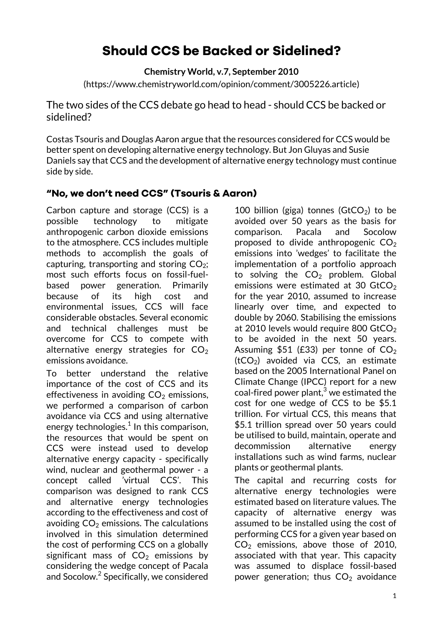# **Should CCS be Backed or Sidelined?**

**Chemistry World, v.7, September 2010**

(https://www.chemistryworld.com/opinion/comment/3005226.article)

The two sides of the CCS debate go head to head - should CCS be backed or sidelined?

Costas Tsouris and Douglas Aaron argue that the resources considered for CCS would be better spent on developing alternative energy technology. But Jon Gluyas and Susie Daniels say that CCS and the development of alternative energy technology must continue side by side.

## **"No, we don't need CCS" (Tsouris & Aaron)**

Carbon capture and storage (CCS) is a possible technology to mitigate anthropogenic carbon dioxide emissions to the atmosphere. CCS includes multiple methods to accomplish the goals of capturing, transporting and storing  $CO<sub>2</sub>$ ; most such efforts focus on fossil-fuelbased power generation. Primarily because of its high cost and environmental issues, CCS will face considerable obstacles. Several economic and technical challenges must be overcome for CCS to compete with alternative energy strategies for  $CO<sub>2</sub>$ emissions avoidance.

To better understand the relative importance of the cost of CCS and its effectiveness in avoiding  $CO<sub>2</sub>$  emissions, we performed a comparison of carbon avoidance via CCS and using alternative energy technologies. $^{\rm 1}$  In this comparison, the resources that would be spent on CCS were instead used to develop alternative energy capacity - specifically wind, nuclear and geothermal power - a concept called 'virtual CCS'. This comparison was designed to rank CCS and alternative energy technologies according to the effectiveness and cost of avoiding  $CO<sub>2</sub>$  emissions. The calculations involved in this simulation determined the cost of performing CCS on a globally significant mass of  $CO<sub>2</sub>$  emissions by considering the wedge concept of Pacala and Socolow. $^2$  Specifically, we considered

100 billion (giga) tonnes  $(GtCO<sub>2</sub>)$  to be avoided over 50 years as the basis for comparison. Pacala and Socolow proposed to divide anthropogenic  $CO<sub>2</sub>$ emissions into 'wedges' to facilitate the implementation of a portfolio approach to solving the  $CO<sub>2</sub>$  problem. Global emissions were estimated at 30 GtCO<sub>2</sub> for the year 2010, assumed to increase linearly over time, and expected to double by 2060. Stabilising the emissions at 2010 levels would require 800 GtCO<sub>2</sub> to be avoided in the next 50 years. Assuming \$51 (£33) per tonne of  $CO<sub>2</sub>$  $(tCO<sub>2</sub>)$  avoided via CCS, an estimate based on the 2005 International Panel on Climate Change (IPCC) report for a new coal-fired power plant, $3$  we estimated the cost for one wedge of CCS to be \$5.1 trillion. For virtual CCS, this means that \$5.1 trillion spread over 50 years could be utilised to build, maintain, operate and decommission alternative energy installations such as wind farms, nuclear plants or geothermal plants.

The capital and recurring costs for alternative energy technologies were estimated based on literature values. The capacity of alternative energy was assumed to be installed using the cost of performing CCS for a given year based on  $CO<sub>2</sub>$  emissions, above those of 2010, associated with that year. This capacity was assumed to displace fossil-based power generation; thus  $CO<sub>2</sub>$  avoidance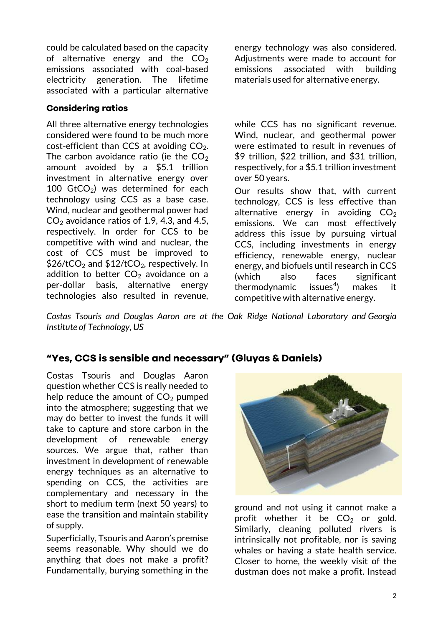could be calculated based on the capacity of alternative energy and the  $CO<sub>2</sub>$ emissions associated with coal-based electricity generation. The lifetime associated with a particular alternative

### **Considering ratios**

All three alternative energy technologies considered were found to be much more cost-efficient than CCS at avoiding  $CO<sub>2</sub>$ . The carbon avoidance ratio (ie the  $CO<sub>2</sub>$ amount avoided by a \$5.1 trillion investment in alternative energy over 100  $GtCO<sub>2</sub>$ ) was determined for each technology using CCS as a base case. Wind, nuclear and geothermal power had  $CO<sub>2</sub>$  avoidance ratios of 1.9, 4.3, and 4.5, respectively. In order for CCS to be competitive with wind and nuclear, the cost of CCS must be improved to  $$26/tCO<sub>2</sub>$  and  $$12/tCO<sub>2</sub>$ , respectively. In addition to better  $CO<sub>2</sub>$  avoidance on a per-dollar basis, alternative energy technologies also resulted in revenue,

energy technology was also considered. Adjustments were made to account for emissions associated with building materials used for alternative energy.

while CCS has no significant revenue. Wind, nuclear, and geothermal power were estimated to result in revenues of \$9 trillion, \$22 trillion, and \$31 trillion, respectively, for a \$5.1 trillion investment over 50 years.

Our results show that, with current technology, CCS is less effective than alternative energy in avoiding  $CO<sub>2</sub>$ emissions. We can most effectively address this issue by pursuing virtual CCS, including investments in energy efficiency, renewable energy, nuclear energy, and biofuels until research in CCS (which also faces significant thermodynamic issues<sup>4</sup>) ) makes it competitive with alternative energy.

*Costas Tsouris and Douglas Aaron are at the Oak Ridge National Laboratory and Georgia Institute of Technology, US*

## **"Yes, CCS is sensible and necessary" (Gluyas & Daniels)**

Costas Tsouris and Douglas Aaron question whether CCS is really needed to help reduce the amount of  $CO<sub>2</sub>$  pumped into the atmosphere; suggesting that we may do better to invest the funds it will take to capture and store carbon in the development of renewable energy sources. We argue that, rather than investment in development of renewable energy techniques as an alternative to spending on CCS, the activities are complementary and necessary in the short to medium term (next 50 years) to ease the transition and maintain stability of supply.

Superficially, Tsouris and Aaron's premise seems reasonable. Why should we do anything that does not make a profit? Fundamentally, burying something in the



ground and not using it cannot make a profit whether it be  $CO<sub>2</sub>$  or gold. Similarly, cleaning polluted rivers is intrinsically not profitable, nor is saving whales or having a state health service. Closer to home, the weekly visit of the dustman does not make a profit. Instead